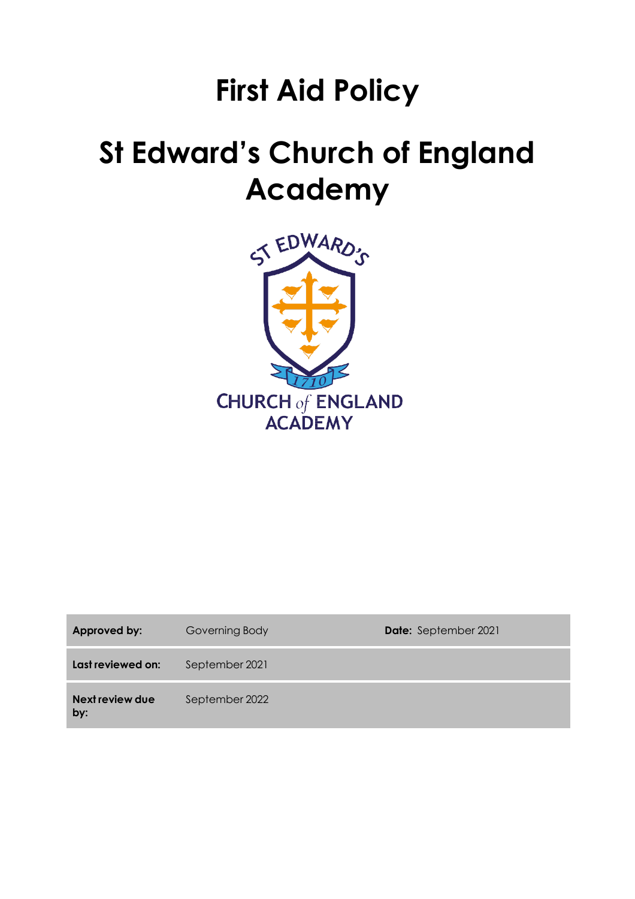# **First Aid Policy**

# **St Edward's Church of England Academy**



| Approved by:           | Governing Body | <b>Date:</b> September 2021 |
|------------------------|----------------|-----------------------------|
| Last reviewed on:      | September 2021 |                             |
| Next review due<br>by: | September 2022 |                             |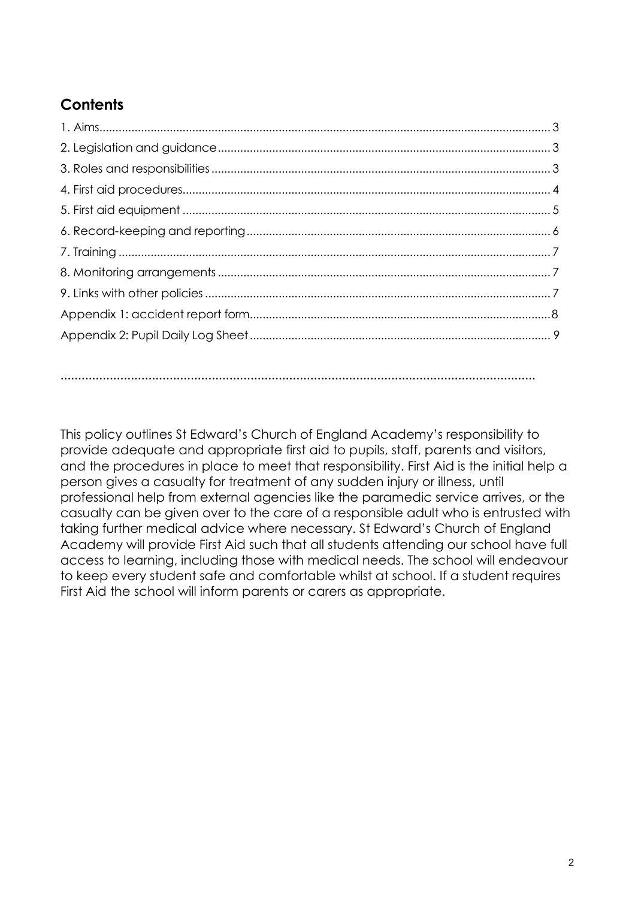# **Contents**

**………………………………………………………………………………………………………………………**

This policy outlines St Edward's Church of England Academy's responsibility to provide adequate and appropriate first aid to pupils, staff, parents and visitors, and the procedures in place to meet that responsibility. First Aid is the initial help a person gives a casualty for treatment of any sudden injury or illness, until professional help from external agencies like the paramedic service arrives, or the casualty can be given over to the care of a responsible adult who is entrusted with taking further medical advice where necessary. St Edward's Church of England Academy will provide First Aid such that all students attending our school have full access to learning, including those with medical needs. The school will endeavour to keep every student safe and comfortable whilst at school. If a student requires First Aid the school will inform parents or carers as appropriate.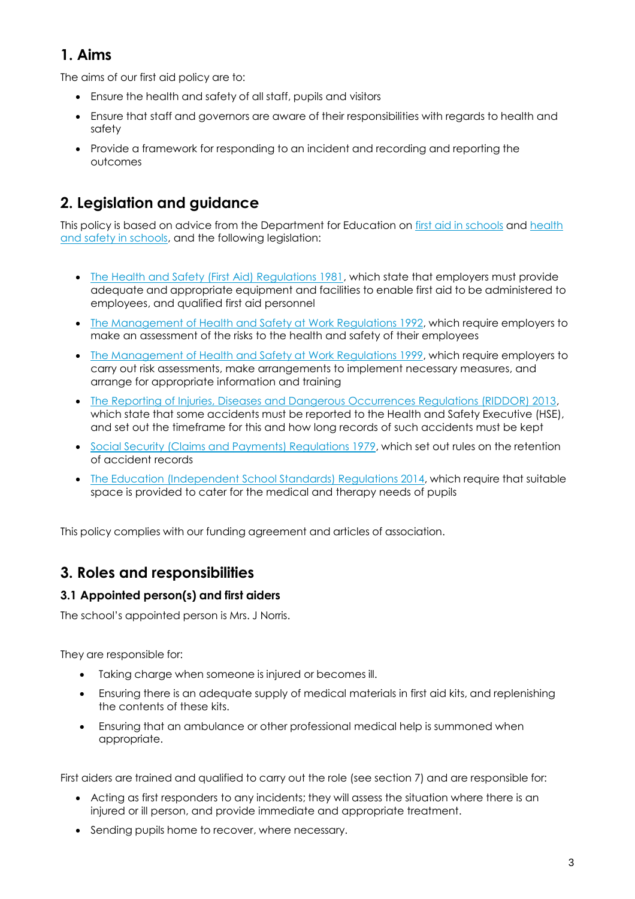## <span id="page-2-0"></span>**1. Aims**

The aims of our first aid policy are to:

- Ensure the health and safety of all staff, pupils and visitors
- Ensure that staff and governors are aware of their responsibilities with regards to health and safety
- Provide a framework for responding to an incident and recording and reporting the outcomes

## <span id="page-2-1"></span>**2. Legislation and guidance**

This policy is based on advice from the Department for Education on first aid in [schools](https://www.gov.uk/government/publications/first-aid-in-schools) and [health](https://www.gov.uk/government/publications/health-and-safety-advice-for-schools) [and safety in schools, a](https://www.gov.uk/government/publications/health-and-safety-advice-for-schools)nd the following legislation:

- [The Health and Safety \(First Aid\) Regulations 1981, w](http://www.legislation.gov.uk/uksi/1981/917/regulation/3/made)hich state that employers must provide adequate and appropriate equipment and facilities to enable first aid to be administered to employees, and qualified first aid personnel
- The [Management](http://www.legislation.gov.uk/uksi/1992/2051/regulation/3/made) of Health and Safety at Work Regulations 1992, which require employers to make an assessment of the risks to the health and safety of their employees
- The [Management](http://www.legislation.gov.uk/uksi/1999/3242/contents/made) of Health and Safety at Work Regulations 1999, which require employers to carry out risk assessments, make arrangements to implement necessary measures, and arrange for appropriate information and training
- [The Reporting of Injuries, Diseases and Dangerous Occurrences Regulations \(RIDDOR\) 2013,](http://www.legislation.gov.uk/uksi/2013/1471/schedule/1/paragraph/1/made) which state that some accidents must be reported to the Health and Safety Executive (HSE), and set out the timeframe for this and how long records of such accidents must be kept
- Social Security (Claims and Payments) [Regulations](http://www.legislation.gov.uk/uksi/1979/628) 1979, which set out rules on the retention of accident records
- The Education [\(Independent](http://www.legislation.gov.uk/uksi/2014/3283/schedule/made) School Standards) Regulations 2014, which require that suitable space is provided to cater for the medical and therapy needs of pupils

This policy complies with our funding agreement and articles of association.

## <span id="page-2-2"></span>**3. Roles and responsibilities**

#### **3.1 Appointed person(s) and first aiders**

The school's appointed person is Mrs. J Norris.

They are responsible for:

- Taking charge when someone is injured or becomes ill.
- Ensuring there is an adequate supply of medical materials in first aid kits, and replenishing the contents of these kits.
- Ensuring that an ambulance or other professional medical help is summoned when appropriate.

First aiders are trained and qualified to carry out the role (see section 7) and are responsible for:

- Acting as first responders to any incidents; they will assess the situation where there is an injured or ill person, and provide immediate and appropriate treatment.
- Sending pupils home to recover, where necessary.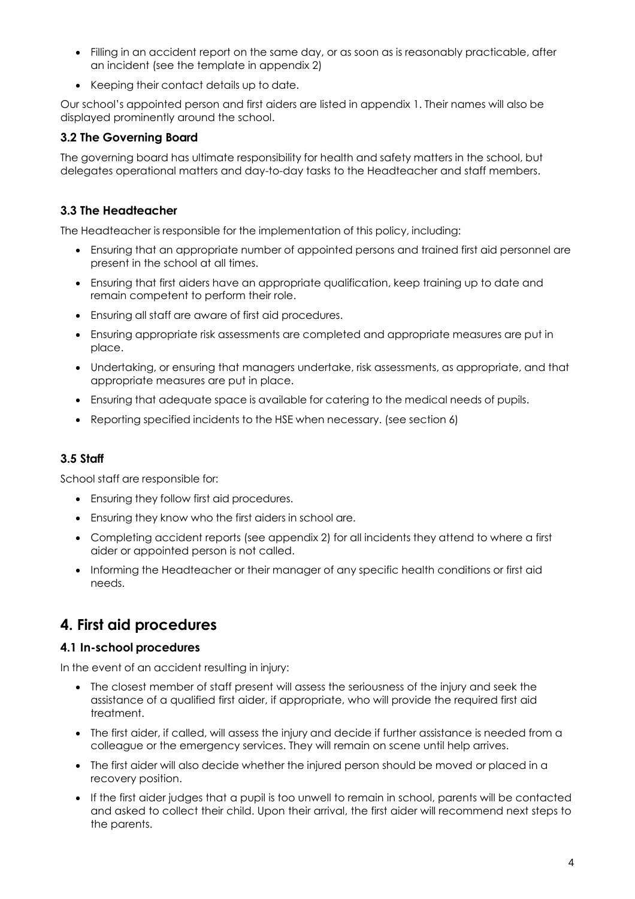- Filling in an accident report on the same day, or as soon as is reasonably practicable, after an incident (see the template in appendix 2)
- Keeping their contact details up to date.

Our school's appointed person and first aiders are listed in appendix 1. Their names will also be displayed prominently around the school.

#### **3.2 The Governing Board**

The governing board has ultimate responsibility for health and safety matters in the school, but delegates operational matters and day-to-day tasks to the Headteacher and staff members.

#### **3.3 The Headteacher**

The Headteacher is responsible for the implementation of this policy, including:

- Ensuring that an appropriate number of appointed persons and trained first aid personnel are present in the school at all times.
- Ensuring that first aiders have an appropriate qualification, keep training up to date and remain competent to perform their role.
- Ensuring all staff are aware of first aid procedures.
- Ensuring appropriate risk assessments are completed and appropriate measures are put in place.
- Undertaking, or ensuring that managers undertake, risk assessments, as appropriate, and that appropriate measures are put in place.
- Ensuring that adequate space is available for catering to the medical needs of pupils.
- Reporting specified incidents to the HSE when necessary. (see section 6)

#### **3.5 Staff**

School staff are responsible for:

- Ensuring they follow first aid procedures.
- Ensuring they know who the first aiders in school are.
- Completing accident reports (see appendix 2) for all incidents they attend to where a first aider or appointed person is not called.
- Informing the Headteacher or their manager of any specific health conditions or first aid needs.

## <span id="page-3-0"></span>**4. First aid procedures**

#### **4.1 In-school procedures**

In the event of an accident resulting in injury:

- The closest member of staff present will assess the seriousness of the injury and seek the assistance of a qualified first aider, if appropriate, who will provide the required first aid treatment.
- The first aider, if called, will assess the injury and decide if further assistance is needed from a colleague or the emergency services. They will remain on scene until help arrives.
- The first aider will also decide whether the injured person should be moved or placed in a recovery position.
- If the first aider judges that a pupil is too unwell to remain in school, parents will be contacted and asked to collect their child. Upon their arrival, the first aider will recommend next steps to the parents.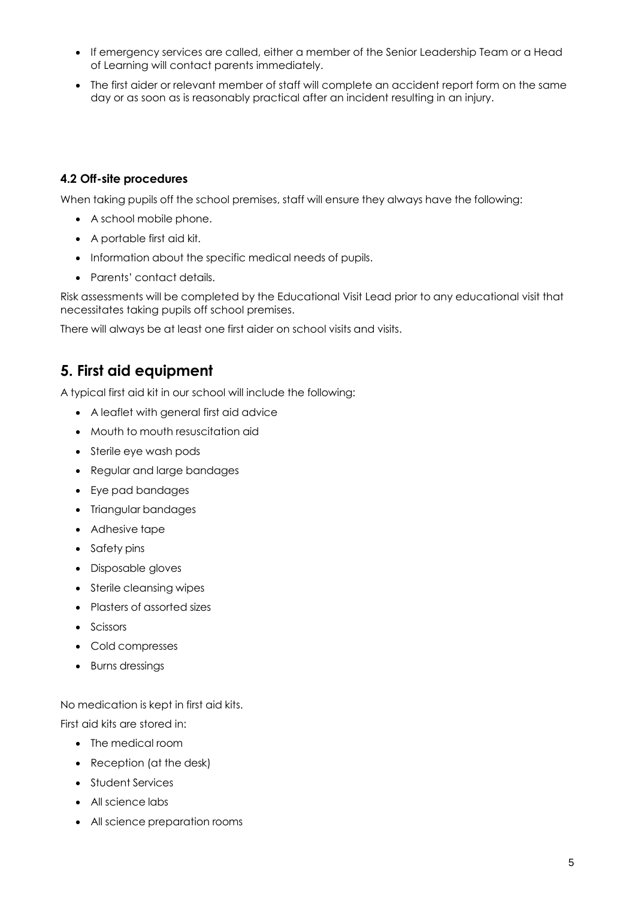- If emergency services are called, either a member of the Senior Leadership Team or a Head of Learning will contact parents immediately.
- The first aider or relevant member of staff will complete an accident report form on the same day or as soon as is reasonably practical after an incident resulting in an injury.

#### **4.2 Off-site procedures**

When taking pupils off the school premises, staff will ensure they always have the following:

- A school mobile phone.
- A portable first aid kit.
- Information about the specific medical needs of pupils.
- Parents' contact details.

Risk assessments will be completed by the Educational Visit Lead prior to any educational visit that necessitates taking pupils off school premises.

There will always be at least one first aider on school visits and visits.

#### <span id="page-4-0"></span>**5. First aid equipment**

A typical first aid kit in our school will include the following:

- A leaflet with general first aid advice
- Mouth to mouth resuscitation aid
- Sterile eye wash pods
- Regular and large bandages
- Eye pad bandages
- Triangular bandages
- Adhesive tape
- Safety pins
- Disposable gloves
- Sterile cleansing wipes
- Plasters of assorted sizes
- Scissors
- Cold compresses
- Burns dressings

No medication is kept in first aid kits.

First aid kits are stored in:

- The medical room
- Reception (at the desk)
- Student Services
- All science labs
- All science preparation rooms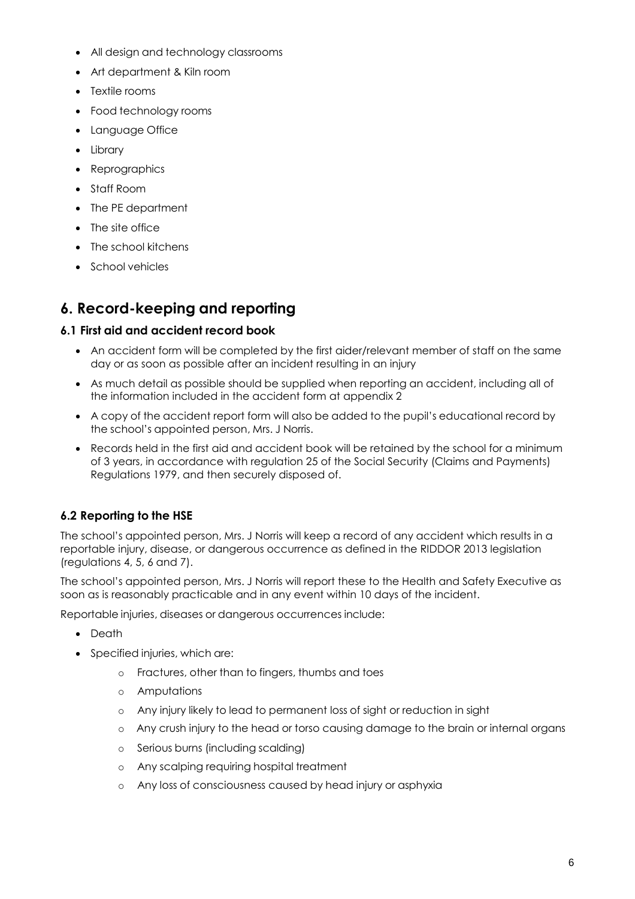- All design and technology classrooms
- Art department & Kiln room
- Textile rooms
- Food technology rooms
- Language Office
- Library
- Reprographics
- Staff Room
- The PE department
- The site office
- The school kitchens
- School vehicles

## <span id="page-5-0"></span>**6. Record-keeping and reporting**

#### **6.1 First aid and accident record book**

- An accident form will be completed by the first aider/relevant member of staff on the same day or as soon as possible after an incident resulting in an injury
- As much detail as possible should be supplied when reporting an accident, including all of the information included in the accident form at appendix 2
- A copy of the accident report form will also be added to the pupil's educational record by the school's appointed person, Mrs. J Norris.
- Records held in the first aid and accident book will be retained by the school for a minimum of 3 years, in accordance with regulation 25 of the Social Security (Claims and Payments) Regulations 1979, and then securely disposed of.

#### **6.2 Reporting to the HSE**

The school's appointed person, Mrs. J Norris will keep a record of any accident which results in a reportable injury, disease, or dangerous occurrence as defined in the RIDDOR 2013 legislation (regulations 4, 5, 6 and 7).

The school's appointed person, Mrs. J Norris will report these to the Health and Safety Executive as soon as is reasonably practicable and in any event within 10 days of the incident.

Reportable injuries, diseases or dangerous occurrences include:

- Death
- Specified injuries, which are:
	- o Fractures, other than to fingers, thumbs and toes
	- o Amputations
	- o Any injury likely to lead to permanent loss of sight or reduction in sight
	- o Any crush injury to the head or torso causing damage to the brain or internal organs
	- o Serious burns (including scalding)
	- o Any scalping requiring hospital treatment
	- o Any loss of consciousness caused by head injury or asphyxia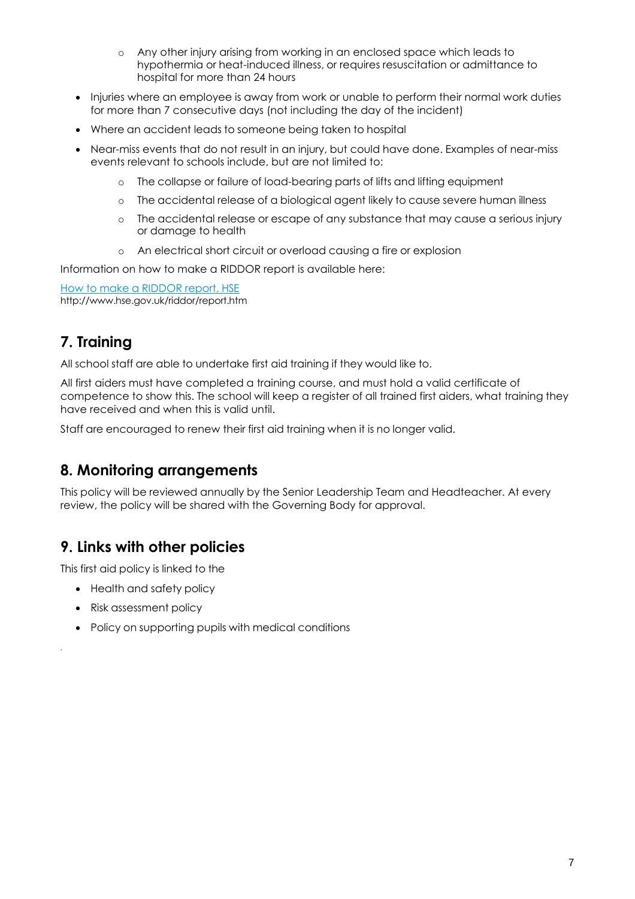- o Any other injury arising from working in an enclosed space which leads to hypothermia or heat-induced illness, or requires resuscitation or admittance to hospital for more than 24 hours
- Injuries where an employee is away from work or unable to perform their normal work duties for more than 7 consecutive days (not including the day of the incident)
- Where an accident leads to someone being taken to hospital
- Near-miss events that do not result in an injury, but could have done. Examples of near-miss events relevant to schools include, but are not limited to:
	- o The collapse or failure of load-bearing parts of lifts and lifting equipment
	- o The accidental release of a biological agent likely to cause severe human illness
	- o The accidental release or escape of any substance that may cause a serious injury or damage to health
	- o An electrical short circuit or overload causing a fire or explosion

Information on how to make a RIDDOR report is available here:

How to make a [RIDDOR](http://www.hse.gov.uk/riddor/report.htm) report, HSE <http://www.hse.gov.uk/riddor/report.htm>

## <span id="page-6-0"></span>**7. Training**

All school staff are able to undertake first aid training if they would like to.

All first aiders must have completed a training course, and must hold a valid certificate of competence to show this. The school will keep a register of all trained first aiders, what training they have received and when this is valid until.

Staff are encouraged to renew their first aid training when it is no longer valid.

## <span id="page-6-1"></span>**8. Monitoring arrangements**

This policy will be reviewed annually by the Senior Leadership Team and Headteacher. At every review, the policy will be shared with the Governing Body for approval.

## <span id="page-6-2"></span>**9. Links with other policies**

This first aid policy is linked to the

- Health and safety policy
- Risk assessment policy

*.*

• Policy on supporting pupils with medical conditions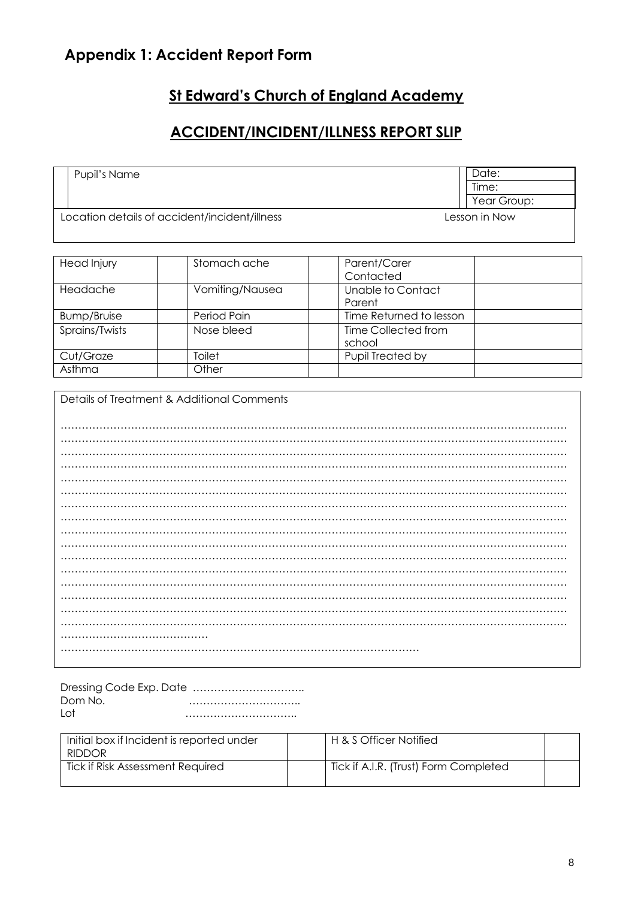# <span id="page-7-0"></span>**Appendix 1: Accident Report Form**

# **St Edward's Church of England Academy**

## **ACCIDENT/INCIDENT/ILLNESS REPORT SLIP**

| Pupil's Name                                  | Date:         |
|-----------------------------------------------|---------------|
|                                               | Time:         |
|                                               | Year Group:   |
| Location details of accident/incident/illness | Lesson in Now |

| Head Injury    | Stomach ache    | Parent/Carer            |  |
|----------------|-----------------|-------------------------|--|
|                |                 | Contacted               |  |
| Headache       | Vomiting/Nausea | Unable to Contact       |  |
|                |                 | Parent                  |  |
| Bump/Bruise    | Period Pain     | Time Returned to lesson |  |
| Sprains/Twists | Nose bleed      | Time Collected from     |  |
|                |                 | school                  |  |
| Cut/Graze      | Toilet          | Pupil Treated by        |  |
| Asthma         | Other           |                         |  |

| Details of Treatment & Additional Comments |
|--------------------------------------------|
|                                            |
|                                            |
|                                            |
|                                            |
|                                            |
|                                            |
|                                            |
|                                            |
|                                            |
|                                            |
|                                            |
|                                            |
|                                            |
|                                            |
|                                            |
|                                            |
|                                            |
|                                            |
|                                            |
|                                            |
|                                            |
|                                            |

| Dom No. |  |
|---------|--|
| l ot    |  |

| Initial box if Incident is reported under | H & S Officer Notified                |  |
|-------------------------------------------|---------------------------------------|--|
| <b>RIDDOR</b>                             |                                       |  |
| Tick if Risk Assessment Required          | Tick if A.I.R. (Trust) Form Completed |  |